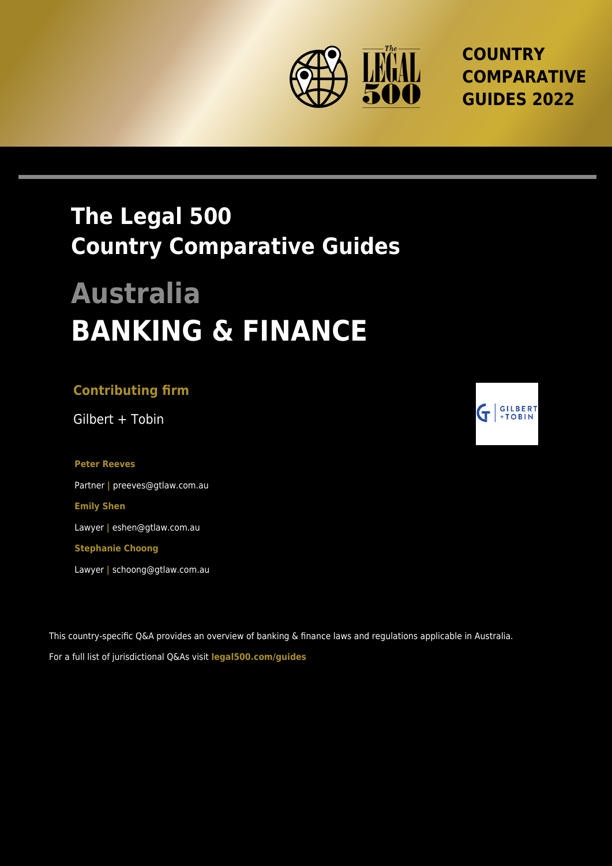

**COUNTRY COMPARATIVE GUIDES 2022**

## **The Legal 500 Country Comparative Guides**

# **Australia BANKING & FINANCE**

#### **Contributing firm**

Gilbert + Tobin

**Peter Reeves** Partner **|** preeves@gtlaw.com.au **Emily Shen** Lawyer **|** eshen@gtlaw.com.au **Stephanie Choong**

Lawyer **|** schoong@gtlaw.com.au

This country-specific Q&A provides an overview of banking & finance laws and regulations applicable in Australia. For a full list of jurisdictional Q&As visit **[legal500.com/guides](https://www.legal500.com/guides/)**

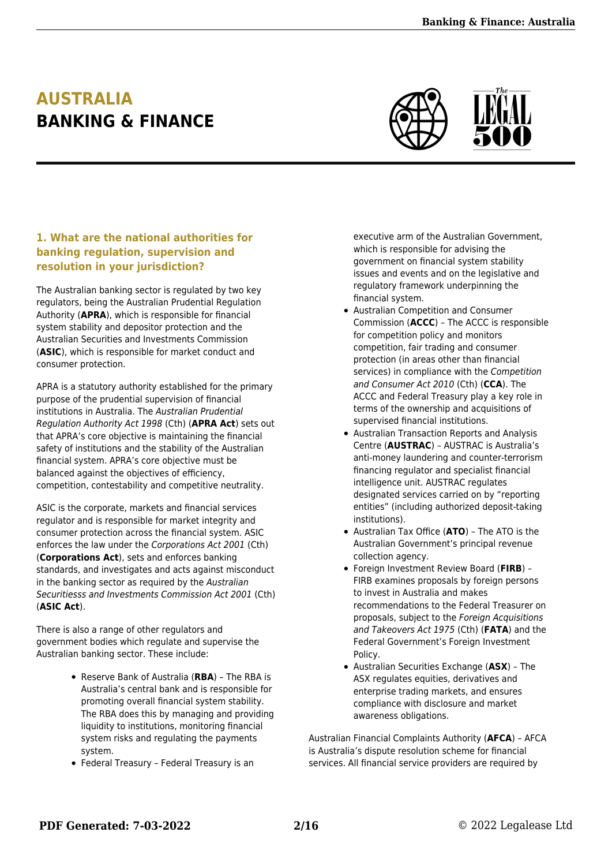### **AUSTRALIA BANKING & FINANCE**



#### **1. What are the national authorities for banking regulation, supervision and resolution in your jurisdiction?**

The Australian banking sector is regulated by two key regulators, being the Australian Prudential Regulation Authority (**APRA**), which is responsible for financial system stability and depositor protection and the Australian Securities and Investments Commission (**ASIC**), which is responsible for market conduct and consumer protection.

APRA is a statutory authority established for the primary purpose of the prudential supervision of financial institutions in Australia. The Australian Prudential Regulation Authority Act 1998 (Cth) (**APRA Act**) sets out that APRA's core objective is maintaining the financial safety of institutions and the stability of the Australian financial system. APRA's core objective must be balanced against the objectives of efficiency, competition, contestability and competitive neutrality.

ASIC is the corporate, markets and financial services regulator and is responsible for market integrity and consumer protection across the financial system. ASIC enforces the law under the Corporations Act 2001 (Cth) (**Corporations Act**), sets and enforces banking standards, and investigates and acts against misconduct in the banking sector as required by the Australian Securitiesss and Investments Commission Act 2001 (Cth) (**ASIC Act**).

There is also a range of other regulators and government bodies which regulate and supervise the Australian banking sector. These include:

- Reserve Bank of Australia (**RBA**) The RBA is Australia's central bank and is responsible for promoting overall financial system stability. The RBA does this by managing and providing liquidity to institutions, monitoring financial system risks and regulating the payments system.
- Federal Treasury Federal Treasury is an

executive arm of the Australian Government, which is responsible for advising the government on financial system stability issues and events and on the legislative and regulatory framework underpinning the financial system.

- Australian Competition and Consumer Commission (**ACCC**) – The ACCC is responsible for competition policy and monitors competition, fair trading and consumer protection (in areas other than financial services) in compliance with the Competition and Consumer Act 2010 (Cth) (**CCA**). The ACCC and Federal Treasury play a key role in terms of the ownership and acquisitions of supervised financial institutions.
- Australian Transaction Reports and Analysis Centre (**AUSTRAC**) – AUSTRAC is Australia's anti-money laundering and counter-terrorism financing regulator and specialist financial intelligence unit. AUSTRAC regulates designated services carried on by "reporting entities" (including authorized deposit-taking institutions).
- Australian Tax Office (**ATO**) The ATO is the Australian Government's principal revenue collection agency.
- Foreign Investment Review Board (**FIRB**) FIRB examines proposals by foreign persons to invest in Australia and makes recommendations to the Federal Treasurer on proposals, subject to the Foreign Acquisitions and Takeovers Act 1975 (Cth) (**FATA**) and the Federal Government's Foreign Investment Policy.
- Australian Securities Exchange (**ASX**) The ASX regulates equities, derivatives and enterprise trading markets, and ensures compliance with disclosure and market awareness obligations.

Australian Financial Complaints Authority (**AFCA**) – AFCA is Australia's dispute resolution scheme for financial services. All financial service providers are required by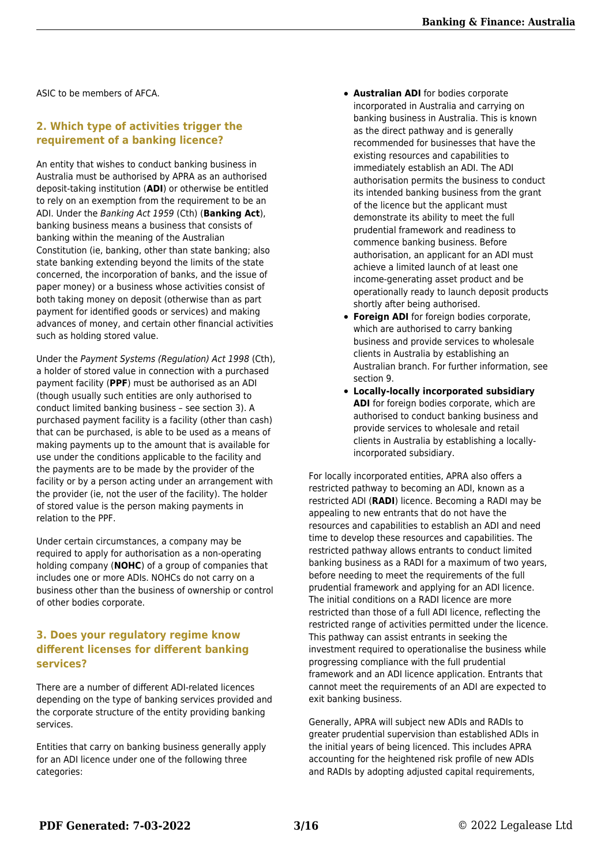ASIC to be members of AFCA.

#### **2. Which type of activities trigger the requirement of a banking licence?**

An entity that wishes to conduct banking business in Australia must be authorised by APRA as an authorised deposit-taking institution (**ADI**) or otherwise be entitled to rely on an exemption from the requirement to be an ADI. Under the Banking Act 1959 (Cth) (**Banking Act**), banking business means a business that consists of banking within the meaning of the Australian Constitution (ie, banking, other than state banking; also state banking extending beyond the limits of the state concerned, the incorporation of banks, and the issue of paper money) or a business whose activities consist of both taking money on deposit (otherwise than as part payment for identified goods or services) and making advances of money, and certain other financial activities such as holding stored value.

Under the Payment Systems (Regulation) Act 1998 (Cth), a holder of stored value in connection with a purchased payment facility (**PPF**) must be authorised as an ADI (though usually such entities are only authorised to conduct limited banking business – see section 3). A purchased payment facility is a facility (other than cash) that can be purchased, is able to be used as a means of making payments up to the amount that is available for use under the conditions applicable to the facility and the payments are to be made by the provider of the facility or by a person acting under an arrangement with the provider (ie, not the user of the facility). The holder of stored value is the person making payments in relation to the PPF.

Under certain circumstances, a company may be required to apply for authorisation as a non-operating holding company (**NOHC**) of a group of companies that includes one or more ADIs. NOHCs do not carry on a business other than the business of ownership or control of other bodies corporate.

#### **3. Does your regulatory regime know different licenses for different banking services?**

There are a number of different ADI-related licences depending on the type of banking services provided and the corporate structure of the entity providing banking services.

Entities that carry on banking business generally apply for an ADI licence under one of the following three categories:

- **Australian ADI** for bodies corporate incorporated in Australia and carrying on banking business in Australia. This is known as the direct pathway and is generally recommended for businesses that have the existing resources and capabilities to immediately establish an ADI. The ADI authorisation permits the business to conduct its intended banking business from the grant of the licence but the applicant must demonstrate its ability to meet the full prudential framework and readiness to commence banking business. Before authorisation, an applicant for an ADI must achieve a limited launch of at least one income-generating asset product and be operationally ready to launch deposit products shortly after being authorised.
- **Foreign ADI** for foreign bodies corporate, which are authorised to carry banking business and provide services to wholesale clients in Australia by establishing an Australian branch. For further information, see section 9.
- **Locally-locally incorporated subsidiary** ADI for foreign bodies corporate, which are authorised to conduct banking business and provide services to wholesale and retail clients in Australia by establishing a locallyincorporated subsidiary.

For locally incorporated entities, APRA also offers a restricted pathway to becoming an ADI, known as a restricted ADI (**RADI**) licence. Becoming a RADI may be appealing to new entrants that do not have the resources and capabilities to establish an ADI and need time to develop these resources and capabilities. The restricted pathway allows entrants to conduct limited banking business as a RADI for a maximum of two years, before needing to meet the requirements of the full prudential framework and applying for an ADI licence. The initial conditions on a RADI licence are more restricted than those of a full ADI licence, reflecting the restricted range of activities permitted under the licence. This pathway can assist entrants in seeking the investment required to operationalise the business while progressing compliance with the full prudential framework and an ADI licence application. Entrants that cannot meet the requirements of an ADI are expected to exit banking business.

Generally, APRA will subject new ADIs and RADIs to greater prudential supervision than established ADIs in the initial years of being licenced. This includes APRA accounting for the heightened risk profile of new ADIs and RADIs by adopting adjusted capital requirements,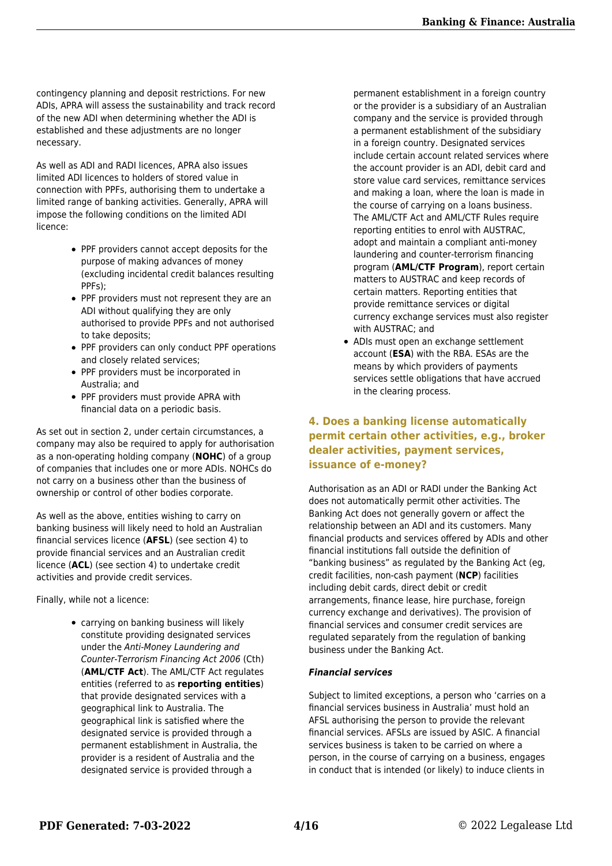contingency planning and deposit restrictions. For new ADIs, APRA will assess the sustainability and track record of the new ADI when determining whether the ADI is established and these adjustments are no longer necessary.

As well as ADI and RADI licences, APRA also issues limited ADI licences to holders of stored value in connection with PPFs, authorising them to undertake a limited range of banking activities. Generally, APRA will impose the following conditions on the limited ADI licence:

- PPF providers cannot accept deposits for the purpose of making advances of money (excluding incidental credit balances resulting PPFs);
- PPF providers must not represent they are an ADI without qualifying they are only authorised to provide PPFs and not authorised to take deposits;
- PPF providers can only conduct PPF operations and closely related services;
- PPF providers must be incorporated in Australia; and
- PPF providers must provide APRA with financial data on a periodic basis.

As set out in section 2, under certain circumstances, a company may also be required to apply for authorisation as a non-operating holding company (**NOHC**) of a group of companies that includes one or more ADIs. NOHCs do not carry on a business other than the business of ownership or control of other bodies corporate.

As well as the above, entities wishing to carry on banking business will likely need to hold an Australian financial services licence (**AFSL**) (see section 4) to provide financial services and an Australian credit licence (**ACL**) (see section 4) to undertake credit activities and provide credit services.

Finally, while not a licence:

carrying on banking business will likely constitute providing designated services under the Anti-Money Laundering and Counter-Terrorism Financing Act 2006 (Cth) (**AML/CTF Act**). The AML/CTF Act regulates entities (referred to as **reporting entities**) that provide designated services with a geographical link to Australia. The geographical link is satisfied where the designated service is provided through a permanent establishment in Australia, the provider is a resident of Australia and the designated service is provided through a

permanent establishment in a foreign country or the provider is a subsidiary of an Australian company and the service is provided through a permanent establishment of the subsidiary in a foreign country. Designated services include certain account related services where the account provider is an ADI, debit card and store value card services, remittance services and making a loan, where the loan is made in the course of carrying on a loans business. The AML/CTF Act and AML/CTF Rules require reporting entities to enrol with AUSTRAC, adopt and maintain a compliant anti-money laundering and counter-terrorism financing program (**AML/CTF Program**), report certain matters to AUSTRAC and keep records of certain matters. Reporting entities that provide remittance services or digital currency exchange services must also register with AUSTRAC; and

• ADIs must open an exchange settlement account (**ESA**) with the RBA. ESAs are the means by which providers of payments services settle obligations that have accrued in the clearing process.

#### **4. Does a banking license automatically permit certain other activities, e.g., broker dealer activities, payment services, issuance of e-money?**

Authorisation as an ADI or RADI under the Banking Act does not automatically permit other activities. The Banking Act does not generally govern or affect the relationship between an ADI and its customers. Many financial products and services offered by ADIs and other financial institutions fall outside the definition of "banking business" as regulated by the Banking Act (eg, credit facilities, non-cash payment (**NCP**) facilities including debit cards, direct debit or credit arrangements, finance lease, hire purchase, foreign currency exchange and derivatives). The provision of financial services and consumer credit services are regulated separately from the regulation of banking business under the Banking Act.

#### *Financial services*

Subject to limited exceptions, a person who 'carries on a financial services business in Australia' must hold an AFSL authorising the person to provide the relevant financial services. AFSLs are issued by ASIC. A financial services business is taken to be carried on where a person, in the course of carrying on a business, engages in conduct that is intended (or likely) to induce clients in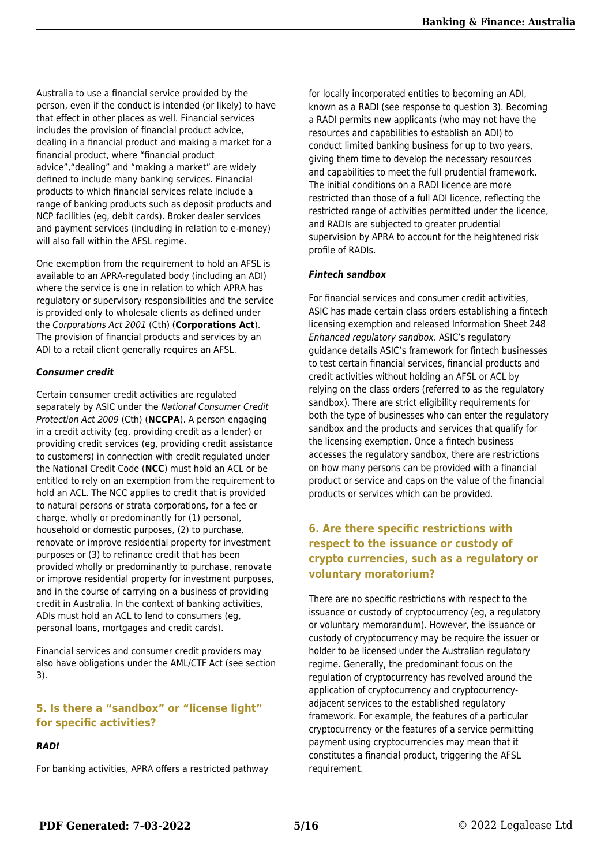Australia to use a financial service provided by the person, even if the conduct is intended (or likely) to have that effect in other places as well. Financial services includes the provision of financial product advice, dealing in a financial product and making a market for a financial product, where "financial product advice","dealing" and "making a market" are widely defined to include many banking services. Financial products to which financial services relate include a range of banking products such as deposit products and NCP facilities (eg, debit cards). Broker dealer services and payment services (including in relation to e-money) will also fall within the AFSL regime.

One exemption from the requirement to hold an AFSL is available to an APRA-regulated body (including an ADI) where the service is one in relation to which APRA has regulatory or supervisory responsibilities and the service is provided only to wholesale clients as defined under the Corporations Act 2001 (Cth) (**Corporations Act**). The provision of financial products and services by an ADI to a retail client generally requires an AFSL.

#### *Consumer credit*

Certain consumer credit activities are regulated separately by ASIC under the National Consumer Credit Protection Act 2009 (Cth) (**NCCPA**). A person engaging in a credit activity (eg, providing credit as a lender) or providing credit services (eg, providing credit assistance to customers) in connection with credit regulated under the National Credit Code (**NCC**) must hold an ACL or be entitled to rely on an exemption from the requirement to hold an ACL. The NCC applies to credit that is provided to natural persons or strata corporations, for a fee or charge, wholly or predominantly for (1) personal, household or domestic purposes, (2) to purchase, renovate or improve residential property for investment purposes or (3) to refinance credit that has been provided wholly or predominantly to purchase, renovate or improve residential property for investment purposes, and in the course of carrying on a business of providing credit in Australia. In the context of banking activities, ADIs must hold an ACL to lend to consumers (eg, personal loans, mortgages and credit cards).

Financial services and consumer credit providers may also have obligations under the AML/CTF Act (see section 3).

#### **5. Is there a "sandbox" or "license light" for specific activities?**

#### *RADI*

For banking activities, APRA offers a restricted pathway

for locally incorporated entities to becoming an ADI, known as a RADI (see response to question 3). Becoming a RADI permits new applicants (who may not have the resources and capabilities to establish an ADI) to conduct limited banking business for up to two years, giving them time to develop the necessary resources and capabilities to meet the full prudential framework. The initial conditions on a RADI licence are more restricted than those of a full ADI licence, reflecting the restricted range of activities permitted under the licence, and RADIs are subjected to greater prudential supervision by APRA to account for the heightened risk profile of RADIs.

#### *Fintech sandbox*

For financial services and consumer credit activities, ASIC has made certain class orders establishing a fintech licensing exemption and released Information Sheet 248 Enhanced regulatory sandbox. ASIC's regulatory guidance details ASIC's framework for fintech businesses to test certain financial services, financial products and credit activities without holding an AFSL or ACL by relying on the class orders (referred to as the regulatory sandbox). There are strict eligibility requirements for both the type of businesses who can enter the regulatory sandbox and the products and services that qualify for the licensing exemption. Once a fintech business accesses the regulatory sandbox, there are restrictions on how many persons can be provided with a financial product or service and caps on the value of the financial products or services which can be provided.

#### **6. Are there specific restrictions with respect to the issuance or custody of crypto currencies, such as a regulatory or voluntary moratorium?**

There are no specific restrictions with respect to the issuance or custody of cryptocurrency (eg, a regulatory or voluntary memorandum). However, the issuance or custody of cryptocurrency may be require the issuer or holder to be licensed under the Australian regulatory regime. Generally, the predominant focus on the regulation of cryptocurrency has revolved around the application of cryptocurrency and cryptocurrencyadjacent services to the established regulatory framework. For example, the features of a particular cryptocurrency or the features of a service permitting payment using cryptocurrencies may mean that it constitutes a financial product, triggering the AFSL requirement.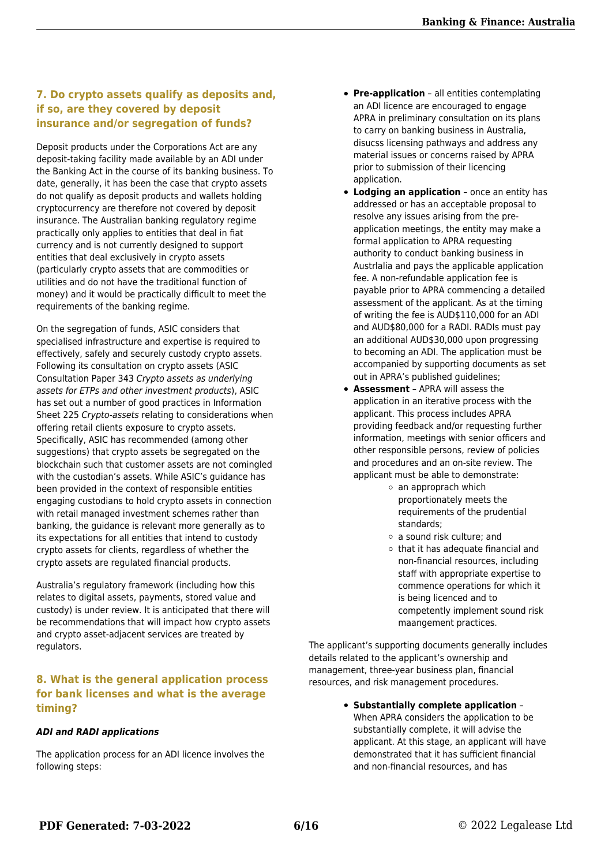#### **7. Do crypto assets qualify as deposits and, if so, are they covered by deposit insurance and/or segregation of funds?**

Deposit products under the Corporations Act are any deposit-taking facility made available by an ADI under the Banking Act in the course of its banking business. To date, generally, it has been the case that crypto assets do not qualify as deposit products and wallets holding cryptocurrency are therefore not covered by deposit insurance. The Australian banking regulatory regime practically only applies to entities that deal in fiat currency and is not currently designed to support entities that deal exclusively in crypto assets (particularly crypto assets that are commodities or utilities and do not have the traditional function of money) and it would be practically difficult to meet the requirements of the banking regime.

On the segregation of funds, ASIC considers that specialised infrastructure and expertise is required to effectively, safely and securely custody crypto assets. Following its consultation on crypto assets (ASIC Consultation Paper 343 Crypto assets as underlying assets for ETPs and other investment products), ASIC has set out a number of good practices in Information Sheet 225 Crypto-assets relating to considerations when offering retail clients exposure to crypto assets. Specifically, ASIC has recommended (among other suggestions) that crypto assets be segregated on the blockchain such that customer assets are not comingled with the custodian's assets. While ASIC's guidance has been provided in the context of responsible entities engaging custodians to hold crypto assets in connection with retail managed investment schemes rather than banking, the guidance is relevant more generally as to its expectations for all entities that intend to custody crypto assets for clients, regardless of whether the crypto assets are regulated financial products.

Australia's regulatory framework (including how this relates to digital assets, payments, stored value and custody) is under review. It is anticipated that there will be recommendations that will impact how crypto assets and crypto asset-adjacent services are treated by regulators.

#### **8. What is the general application process for bank licenses and what is the average timing?**

#### *ADI and RADI applications*

The application process for an ADI licence involves the following steps:

- **Pre-application** all entities contemplating an ADI licence are encouraged to engage APRA in preliminary consultation on its plans to carry on banking business in Australia, disucss licensing pathways and address any material issues or concerns raised by APRA prior to submission of their licencing application.
- **Lodging an application** once an entity has addressed or has an acceptable proposal to resolve any issues arising from the preapplication meetings, the entity may make a formal application to APRA requesting authority to conduct banking business in Austrlalia and pays the applicable application fee. A non-refundable application fee is payable prior to APRA commencing a detailed assessment of the applicant. As at the timing of writing the fee is AUD\$110,000 for an ADI and AUD\$80,000 for a RADI. RADIs must pay an additional AUD\$30,000 upon progressing to becoming an ADI. The application must be accompanied by supporting documents as set out in APRA's published guidelines;
- **Assessment** APRA will assess the application in an iterative process with the applicant. This process includes APRA providing feedback and/or requesting further information, meetings with senior officers and other responsible persons, review of policies and procedures and an on-site review. The applicant must be able to demonstrate:
	- $\circ$  an approprach which proportionately meets the requirements of the prudential standards;
	- a sound risk culture; and
	- $\circ$  that it has adequate financial and non-financial resources, including staff with appropriate expertise to commence operations for which it is being licenced and to competently implement sound risk maangement practices.

The applicant's supporting documents generally includes details related to the applicant's ownership and management, three-year business plan, financial resources, and risk management procedures.

> **Substantially complete application** – When APRA considers the application to be substantially complete, it will advise the applicant. At this stage, an applicant will have demonstrated that it has sufficient financial and non-financial resources, and has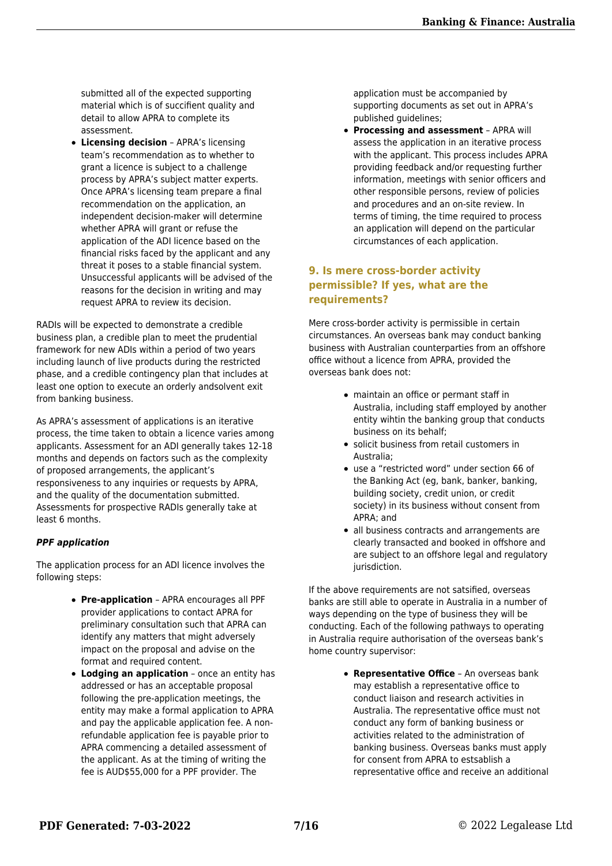submitted all of the expected supporting material which is of succifient quality and detail to allow APRA to complete its assessment.

**Licensing decision** – APRA's licensing team's recommendation as to whether to grant a licence is subject to a challenge process by APRA's subject matter experts. Once APRA's licensing team prepare a final recommendation on the application, an independent decision-maker will determine whether APRA will grant or refuse the application of the ADI licence based on the financial risks faced by the applicant and any threat it poses to a stable financial system. Unsuccessful applicants will be advised of the reasons for the decision in writing and may request APRA to review its decision.

RADIs will be expected to demonstrate a credible business plan, a credible plan to meet the prudential framework for new ADIs within a period of two years including launch of live products during the restricted phase, and a credible contingency plan that includes at least one option to execute an orderly andsolvent exit from banking business.

As APRA's assessment of applications is an iterative process, the time taken to obtain a licence varies among applicants. Assessment for an ADI generally takes 12-18 months and depends on factors such as the complexity of proposed arrangements, the applicant's responsiveness to any inquiries or requests by APRA, and the quality of the documentation submitted. Assessments for prospective RADIs generally take at least 6 months.

#### *PPF application*

The application process for an ADI licence involves the following steps:

- **Pre-application** APRA encourages all PPF provider applications to contact APRA for preliminary consultation such that APRA can identify any matters that might adversely impact on the proposal and advise on the format and required content.
- **Lodging an application** once an entity has addressed or has an acceptable proposal following the pre-application meetings, the entity may make a formal application to APRA and pay the applicable application fee. A nonrefundable application fee is payable prior to APRA commencing a detailed assessment of the applicant. As at the timing of writing the fee is AUD\$55,000 for a PPF provider. The

application must be accompanied by supporting documents as set out in APRA's published guidelines;

**Processing and assessment** – APRA will assess the application in an iterative process with the applicant. This process includes APRA providing feedback and/or requesting further information, meetings with senior officers and other responsible persons, review of policies and procedures and an on-site review. In terms of timing, the time required to process an application will depend on the particular circumstances of each application.

#### **9. Is mere cross-border activity permissible? If yes, what are the requirements?**

Mere cross-border activity is permissible in certain circumstances. An overseas bank may conduct banking business with Australian counterparties from an offshore office without a licence from APRA, provided the overseas bank does not:

- maintain an office or permant staff in Australia, including staff employed by another entity wihtin the banking group that conducts business on its behalf;
- solicit business from retail customers in Australia;
- use a "restricted word" under section 66 of the Banking Act (eg, bank, banker, banking, building society, credit union, or credit society) in its business without consent from APRA; and
- all business contracts and arrangements are clearly transacted and booked in offshore and are subject to an offshore legal and regulatory jurisdiction.

If the above requirements are not satsified, overseas banks are still able to operate in Australia in a number of ways depending on the type of business they will be conducting. Each of the following pathways to operating in Australia require authorisation of the overseas bank's home country supervisor:

> **Representative Office** – An overseas bank may establish a representative office to conduct liaison and research activities in Australia. The representative office must not conduct any form of banking business or activities related to the administration of banking business. Overseas banks must apply for consent from APRA to estsablish a representative office and receive an additional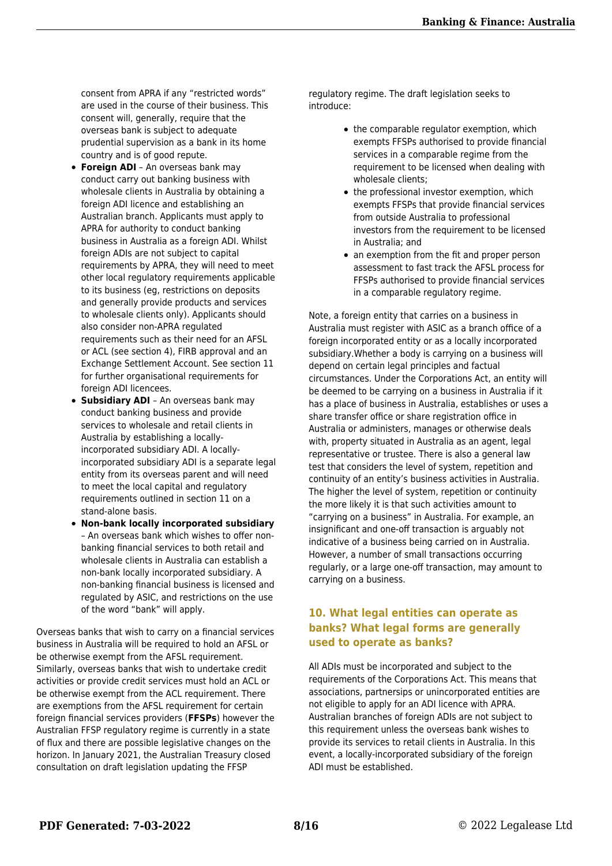consent from APRA if any "restricted words" are used in the course of their business. This consent will, generally, require that the overseas bank is subject to adequate prudential supervision as a bank in its home country and is of good repute.

- **Foreign ADI** An overseas bank may conduct carry out banking business with wholesale clients in Australia by obtaining a foreign ADI licence and establishing an Australian branch. Applicants must apply to APRA for authority to conduct banking business in Australia as a foreign ADI. Whilst foreign ADIs are not subject to capital requirements by APRA, they will need to meet other local regulatory requirements applicable to its business (eg, restrictions on deposits and generally provide products and services to wholesale clients only). Applicants should also consider non-APRA regulated requirements such as their need for an AFSL or ACL (see section 4), FIRB approval and an Exchange Settlement Account. See section 11 for further organisational requirements for foreign ADI licencees.
- **Subsidiary ADI** An overseas bank may conduct banking business and provide services to wholesale and retail clients in Australia by establishing a locallyincorporated subsidiary ADI. A locallyincorporated subsidiary ADI is a separate legal entity from its overseas parent and will need to meet the local capital and regulatory requirements outlined in section 11 on a stand-alone basis.
- **Non-bank locally incorporated subsidiary** – An overseas bank which wishes to offer nonbanking financial services to both retail and wholesale clients in Australia can establish a non-bank locally incorporated subsidiary. A non-banking financial business is licensed and regulated by ASIC, and restrictions on the use of the word "bank" will apply.

Overseas banks that wish to carry on a financial services business in Australia will be required to hold an AFSL or be otherwise exempt from the AFSL requirement. Similarly, overseas banks that wish to undertake credit activities or provide credit services must hold an ACL or be otherwise exempt from the ACL requirement. There are exemptions from the AFSL requirement for certain foreign financial services providers (**FFSPs**) however the Australian FFSP regulatory regime is currently in a state of flux and there are possible legislative changes on the horizon. In January 2021, the Australian Treasury closed consultation on draft legislation updating the FFSP

regulatory regime. The draft legislation seeks to introduce:

- the comparable regulator exemption, which exempts FFSPs authorised to provide financial services in a comparable regime from the requirement to be licensed when dealing with wholesale clients;
- the professional investor exemption, which exempts FFSPs that provide financial services from outside Australia to professional investors from the requirement to be licensed in Australia; and
- an exemption from the fit and proper person assessment to fast track the AFSL process for FFSPs authorised to provide financial services in a comparable regulatory regime.

Note, a foreign entity that carries on a business in Australia must register with ASIC as a branch office of a foreign incorporated entity or as a locally incorporated subsidiary.Whether a body is carrying on a business will depend on certain legal principles and factual circumstances. Under the Corporations Act, an entity will be deemed to be carrying on a business in Australia if it has a place of business in Australia, establishes or uses a share transfer office or share registration office in Australia or administers, manages or otherwise deals with, property situated in Australia as an agent, legal representative or trustee. There is also a general law test that considers the level of system, repetition and continuity of an entity's business activities in Australia. The higher the level of system, repetition or continuity the more likely it is that such activities amount to "carrying on a business" in Australia. For example, an insignificant and one-off transaction is arguably not indicative of a business being carried on in Australia. However, a number of small transactions occurring regularly, or a large one-off transaction, may amount to carrying on a business.

#### **10. What legal entities can operate as banks? What legal forms are generally used to operate as banks?**

All ADIs must be incorporated and subject to the requirements of the Corporations Act. This means that associations, partnersips or unincorporated entities are not eligible to apply for an ADI licence with APRA. Australian branches of foreign ADIs are not subject to this requirement unless the overseas bank wishes to provide its services to retail clients in Australia. In this event, a locally-incorporated subsidiary of the foreign ADI must be established.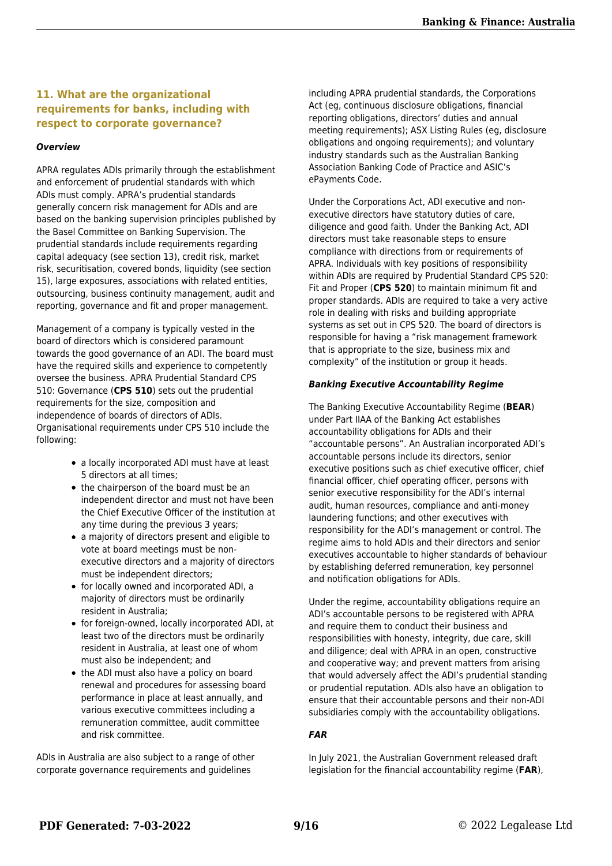#### **11. What are the organizational requirements for banks, including with respect to corporate governance?**

#### *Overview*

APRA regulates ADIs primarily through the establishment and enforcement of prudential standards with which ADIs must comply. APRA's prudential standards generally concern risk management for ADIs and are based on the banking supervision principles published by the Basel Committee on Banking Supervision. The prudential standards include requirements regarding capital adequacy (see section 13), credit risk, market risk, securitisation, covered bonds, liquidity (see section 15), large exposures, associations with related entities, outsourcing, business continuity management, audit and reporting, governance and fit and proper management.

Management of a company is typically vested in the board of directors which is considered paramount towards the good governance of an ADI. The board must have the required skills and experience to competently oversee the business. APRA Prudential Standard CPS 510: Governance (**CPS 510**) sets out the prudential requirements for the size, composition and independence of boards of directors of ADIs. Organisational requirements under CPS 510 include the following:

- a locally incorporated ADI must have at least 5 directors at all times;
- the chairperson of the board must be an independent director and must not have been the Chief Executive Officer of the institution at any time during the previous 3 years;
- a majority of directors present and eligible to vote at board meetings must be nonexecutive directors and a majority of directors must be independent directors;
- for locally owned and incorporated ADI, a majority of directors must be ordinarily resident in Australia;
- for foreign-owned, locally incorporated ADI, at least two of the directors must be ordinarily resident in Australia, at least one of whom must also be independent; and
- the ADI must also have a policy on board renewal and procedures for assessing board performance in place at least annually, and various executive committees including a remuneration committee, audit committee and risk committee.

ADIs in Australia are also subject to a range of other corporate governance requirements and guidelines

including APRA prudential standards, the Corporations Act (eg, continuous disclosure obligations, financial reporting obligations, directors' duties and annual meeting requirements); ASX Listing Rules (eg, disclosure obligations and ongoing requirements); and voluntary industry standards such as the Australian Banking Association Banking Code of Practice and ASIC's ePayments Code.

Under the Corporations Act, ADI executive and nonexecutive directors have statutory duties of care, diligence and good faith. Under the Banking Act, ADI directors must take reasonable steps to ensure compliance with directions from or requirements of APRA. Individuals with key positions of responsibility within ADIs are required by Prudential Standard CPS 520: Fit and Proper (**CPS 520**) to maintain minimum fit and proper standards. ADIs are required to take a very active role in dealing with risks and building appropriate systems as set out in CPS 520. The board of directors is responsible for having a "risk management framework that is appropriate to the size, business mix and complexity" of the institution or group it heads.

#### *Banking Executive Accountability Regime*

The Banking Executive Accountability Regime (**BEAR**) under Part IIAA of the Banking Act establishes accountability obligations for ADIs and their "accountable persons". An Australian incorporated ADI's accountable persons include its directors, senior executive positions such as chief executive officer, chief financial officer, chief operating officer, persons with senior executive responsibility for the ADI's internal audit, human resources, compliance and anti-money laundering functions; and other executives with responsibility for the ADI's management or control. The regime aims to hold ADIs and their directors and senior executives accountable to higher standards of behaviour by establishing deferred remuneration, key personnel and notification obligations for ADIs.

Under the regime, accountability obligations require an ADI's accountable persons to be registered with APRA and require them to conduct their business and responsibilities with honesty, integrity, due care, skill and diligence; deal with APRA in an open, constructive and cooperative way; and prevent matters from arising that would adversely affect the ADI's prudential standing or prudential reputation. ADIs also have an obligation to ensure that their accountable persons and their non-ADI subsidiaries comply with the accountability obligations.

#### *FAR*

In July 2021, the Australian Government released draft legislation for the financial accountability regime (**FAR**),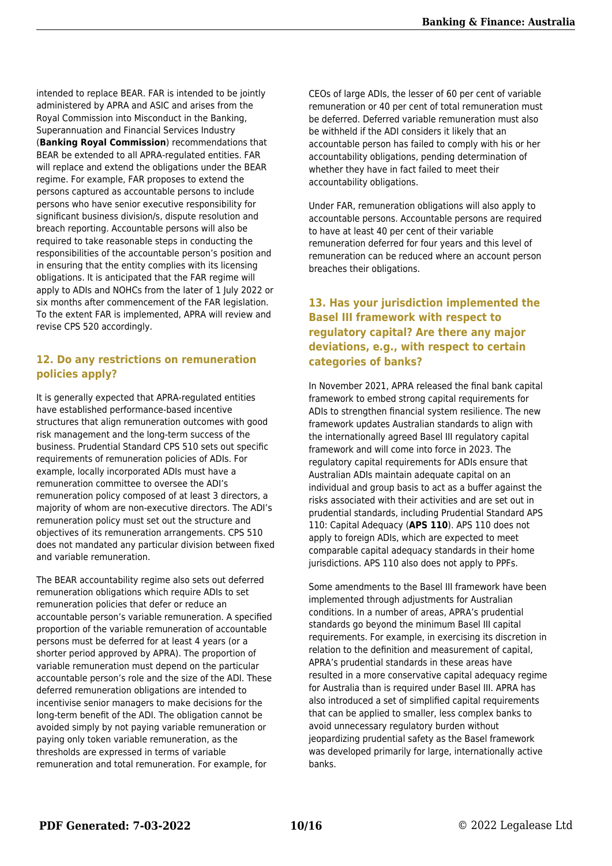intended to replace BEAR. FAR is intended to be jointly administered by APRA and ASIC and arises from the Royal Commission into Misconduct in the Banking, Superannuation and Financial Services Industry (**Banking Royal Commission**) recommendations that BEAR be extended to all APRA-regulated entities. FAR will replace and extend the obligations under the BEAR regime. For example, FAR proposes to extend the persons captured as accountable persons to include persons who have senior executive responsibility for significant business division/s, dispute resolution and breach reporting. Accountable persons will also be required to take reasonable steps in conducting the responsibilities of the accountable person's position and in ensuring that the entity complies with its licensing obligations. It is anticipated that the FAR regime will apply to ADIs and NOHCs from the later of 1 July 2022 or six months after commencement of the FAR legislation. To the extent FAR is implemented, APRA will review and revise CPS 520 accordingly.

#### **12. Do any restrictions on remuneration policies apply?**

It is generally expected that APRA-regulated entities have established performance-based incentive structures that align remuneration outcomes with good risk management and the long-term success of the business. Prudential Standard CPS 510 sets out specific requirements of remuneration policies of ADIs. For example, locally incorporated ADIs must have a remuneration committee to oversee the ADI's remuneration policy composed of at least 3 directors, a majority of whom are non-executive directors. The ADI's remuneration policy must set out the structure and objectives of its remuneration arrangements. CPS 510 does not mandated any particular division between fixed and variable remuneration.

The BEAR accountability regime also sets out deferred remuneration obligations which require ADIs to set remuneration policies that defer or reduce an accountable person's variable remuneration. A specified proportion of the variable remuneration of accountable persons must be deferred for at least 4 years (or a shorter period approved by APRA). The proportion of variable remuneration must depend on the particular accountable person's role and the size of the ADI. These deferred remuneration obligations are intended to incentivise senior managers to make decisions for the long-term benefit of the ADI. The obligation cannot be avoided simply by not paying variable remuneration or paying only token variable remuneration, as the thresholds are expressed in terms of variable remuneration and total remuneration. For example, for

CEOs of large ADIs, the lesser of 60 per cent of variable remuneration or 40 per cent of total remuneration must be deferred. Deferred variable remuneration must also be withheld if the ADI considers it likely that an accountable person has failed to comply with his or her accountability obligations, pending determination of whether they have in fact failed to meet their accountability obligations.

Under FAR, remuneration obligations will also apply to accountable persons. Accountable persons are required to have at least 40 per cent of their variable remuneration deferred for four years and this level of remuneration can be reduced where an account person breaches their obligations.

#### **13. Has your jurisdiction implemented the Basel III framework with respect to regulatory capital? Are there any major deviations, e.g., with respect to certain categories of banks?**

In November 2021, APRA released the final bank capital framework to embed strong capital requirements for ADIs to strengthen financial system resilience. The new framework updates Australian standards to align with the internationally agreed Basel III regulatory capital framework and will come into force in 2023. The regulatory capital requirements for ADIs ensure that Australian ADIs maintain adequate capital on an individual and group basis to act as a buffer against the risks associated with their activities and are set out in prudential standards, including Prudential Standard APS 110: Capital Adequacy (**APS 110**). APS 110 does not apply to foreign ADIs, which are expected to meet comparable capital adequacy standards in their home jurisdictions. APS 110 also does not apply to PPFs.

Some amendments to the Basel III framework have been implemented through adjustments for Australian conditions. In a number of areas, APRA's prudential standards go beyond the minimum Basel III capital requirements. For example, in exercising its discretion in relation to the definition and measurement of capital, APRA's prudential standards in these areas have resulted in a more conservative capital adequacy regime for Australia than is required under Basel III. APRA has also introduced a set of simplified capital requirements that can be applied to smaller, less complex banks to avoid unnecessary regulatory burden without jeopardizing prudential safety as the Basel framework was developed primarily for large, internationally active banks.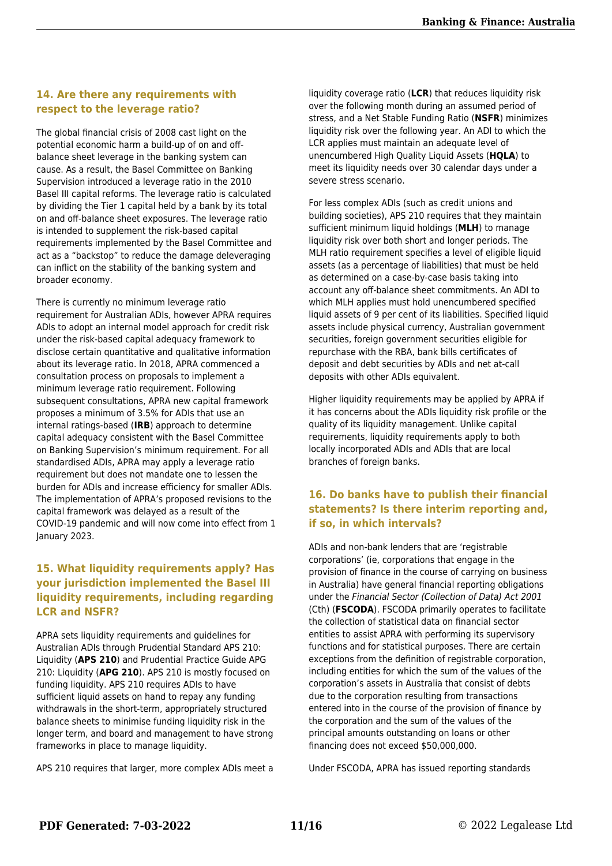#### **14. Are there any requirements with respect to the leverage ratio?**

The global financial crisis of 2008 cast light on the potential economic harm a build-up of on and offbalance sheet leverage in the banking system can cause. As a result, the Basel Committee on Banking Supervision introduced a leverage ratio in the 2010 Basel III capital reforms. The leverage ratio is calculated by dividing the Tier 1 capital held by a bank by its total on and off-balance sheet exposures. The leverage ratio is intended to supplement the risk-based capital requirements implemented by the Basel Committee and act as a "backstop" to reduce the damage deleveraging can inflict on the stability of the banking system and broader economy.

There is currently no minimum leverage ratio requirement for Australian ADIs, however APRA requires ADIs to adopt an internal model approach for credit risk under the risk-based capital adequacy framework to disclose certain quantitative and qualitative information about its leverage ratio. In 2018, APRA commenced a consultation process on proposals to implement a minimum leverage ratio requirement. Following subsequent consultations, APRA new capital framework proposes a minimum of 3.5% for ADIs that use an internal ratings-based (**IRB**) approach to determine capital adequacy consistent with the Basel Committee on Banking Supervision's minimum requirement. For all standardised ADIs, APRA may apply a leverage ratio requirement but does not mandate one to lessen the burden for ADIs and increase efficiency for smaller ADIs. The implementation of APRA's proposed revisions to the capital framework was delayed as a result of the COVID-19 pandemic and will now come into effect from 1 January 2023.

#### **15. What liquidity requirements apply? Has your jurisdiction implemented the Basel III liquidity requirements, including regarding LCR and NSFR?**

APRA sets liquidity requirements and guidelines for Australian ADIs through Prudential Standard APS 210: Liquidity (**APS 210**) and Prudential Practice Guide APG 210: Liquidity (**APG 210**). APS 210 is mostly focused on funding liquidity. APS 210 requires ADIs to have sufficient liquid assets on hand to repay any funding withdrawals in the short-term, appropriately structured balance sheets to minimise funding liquidity risk in the longer term, and board and management to have strong frameworks in place to manage liquidity.

APS 210 requires that larger, more complex ADIs meet a

liquidity coverage ratio (**LCR**) that reduces liquidity risk over the following month during an assumed period of stress, and a Net Stable Funding Ratio (**NSFR**) minimizes liquidity risk over the following year. An ADI to which the LCR applies must maintain an adequate level of unencumbered High Quality Liquid Assets (**HQLA**) to meet its liquidity needs over 30 calendar days under a severe stress scenario.

For less complex ADIs (such as credit unions and building societies), APS 210 requires that they maintain sufficient minimum liquid holdings (**MLH**) to manage liquidity risk over both short and longer periods. The MLH ratio requirement specifies a level of eligible liquid assets (as a percentage of liabilities) that must be held as determined on a case-by-case basis taking into account any off-balance sheet commitments. An ADI to which MLH applies must hold unencumbered specified liquid assets of 9 per cent of its liabilities. Specified liquid assets include physical currency, Australian government securities, foreign government securities eligible for repurchase with the RBA, bank bills certificates of deposit and debt securities by ADIs and net at-call deposits with other ADIs equivalent.

Higher liquidity requirements may be applied by APRA if it has concerns about the ADIs liquidity risk profile or the quality of its liquidity management. Unlike capital requirements, liquidity requirements apply to both locally incorporated ADIs and ADIs that are local branches of foreign banks.

#### **16. Do banks have to publish their financial statements? Is there interim reporting and, if so, in which intervals?**

ADIs and non-bank lenders that are 'registrable corporations' (ie, corporations that engage in the provision of finance in the course of carrying on business in Australia) have general financial reporting obligations under the Financial Sector (Collection of Data) Act 2001 (Cth) (**FSCODA**). FSCODA primarily operates to facilitate the collection of statistical data on financial sector entities to assist APRA with performing its supervisory functions and for statistical purposes. There are certain exceptions from the definition of registrable corporation, including entities for which the sum of the values of the corporation's assets in Australia that consist of debts due to the corporation resulting from transactions entered into in the course of the provision of finance by the corporation and the sum of the values of the principal amounts outstanding on loans or other financing does not exceed \$50,000,000.

Under FSCODA, APRA has issued reporting standards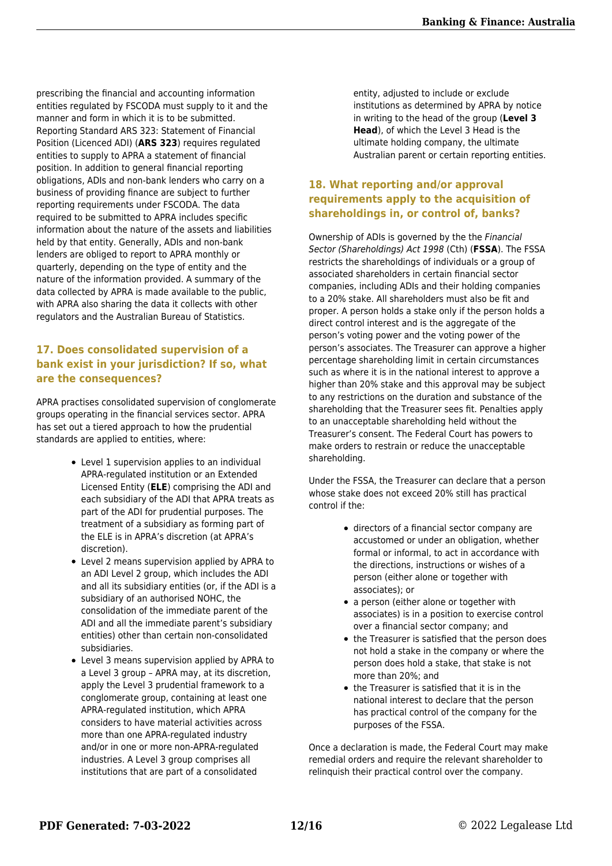prescribing the financial and accounting information entities regulated by FSCODA must supply to it and the manner and form in which it is to be submitted. Reporting Standard ARS 323: Statement of Financial Position (Licenced ADI) (**ARS 323**) requires regulated entities to supply to APRA a statement of financial position. In addition to general financial reporting obligations, ADIs and non-bank lenders who carry on a business of providing finance are subject to further reporting requirements under FSCODA. The data required to be submitted to APRA includes specific information about the nature of the assets and liabilities held by that entity. Generally, ADIs and non-bank lenders are obliged to report to APRA monthly or quarterly, depending on the type of entity and the nature of the information provided. A summary of the data collected by APRA is made available to the public, with APRA also sharing the data it collects with other regulators and the Australian Bureau of Statistics.

#### **17. Does consolidated supervision of a bank exist in your jurisdiction? If so, what are the consequences?**

APRA practises consolidated supervision of conglomerate groups operating in the financial services sector. APRA has set out a tiered approach to how the prudential standards are applied to entities, where:

- Level 1 supervision applies to an individual APRA-regulated institution or an Extended Licensed Entity (**ELE**) comprising the ADI and each subsidiary of the ADI that APRA treats as part of the ADI for prudential purposes. The treatment of a subsidiary as forming part of the ELE is in APRA's discretion (at APRA's discretion).
- Level 2 means supervision applied by APRA to an ADI Level 2 group, which includes the ADI and all its subsidiary entities (or, if the ADI is a subsidiary of an authorised NOHC, the consolidation of the immediate parent of the ADI and all the immediate parent's subsidiary entities) other than certain non-consolidated subsidiaries.
- Level 3 means supervision applied by APRA to a Level 3 group – APRA may, at its discretion, apply the Level 3 prudential framework to a conglomerate group, containing at least one APRA-regulated institution, which APRA considers to have material activities across more than one APRA-regulated industry and/or in one or more non-APRA-regulated industries. A Level 3 group comprises all institutions that are part of a consolidated

entity, adjusted to include or exclude institutions as determined by APRA by notice in writing to the head of the group (**Level 3 Head**), of which the Level 3 Head is the ultimate holding company, the ultimate Australian parent or certain reporting entities.

#### **18. What reporting and/or approval requirements apply to the acquisition of shareholdings in, or control of, banks?**

Ownership of ADIs is governed by the the Financial Sector (Shareholdings) Act 1998 (Cth) (**FSSA**). The FSSA restricts the shareholdings of individuals or a group of associated shareholders in certain financial sector companies, including ADIs and their holding companies to a 20% stake. All shareholders must also be fit and proper. A person holds a stake only if the person holds a direct control interest and is the aggregate of the person's voting power and the voting power of the person's associates. The Treasurer can approve a higher percentage shareholding limit in certain circumstances such as where it is in the national interest to approve a higher than 20% stake and this approval may be subject to any restrictions on the duration and substance of the shareholding that the Treasurer sees fit. Penalties apply to an unacceptable shareholding held without the Treasurer's consent. The Federal Court has powers to make orders to restrain or reduce the unacceptable shareholding.

Under the FSSA, the Treasurer can declare that a person whose stake does not exceed 20% still has practical control if the:

- directors of a financial sector company are accustomed or under an obligation, whether formal or informal, to act in accordance with the directions, instructions or wishes of a person (either alone or together with associates); or
- a person (either alone or together with associates) is in a position to exercise control over a financial sector company; and
- the Treasurer is satisfied that the person does not hold a stake in the company or where the person does hold a stake, that stake is not more than 20%; and
- the Treasurer is satisfied that it is in the national interest to declare that the person has practical control of the company for the purposes of the FSSA.

Once a declaration is made, the Federal Court may make remedial orders and require the relevant shareholder to relinquish their practical control over the company.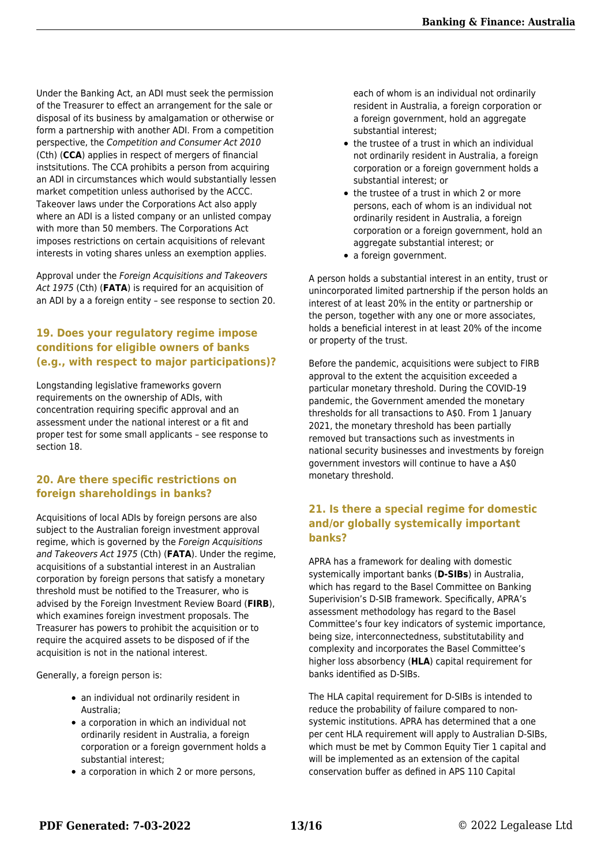Under the Banking Act, an ADI must seek the permission of the Treasurer to effect an arrangement for the sale or disposal of its business by amalgamation or otherwise or form a partnership with another ADI. From a competition perspective, the Competition and Consumer Act 2010 (Cth) (**CCA**) applies in respect of mergers of financial instsitutions. The CCA prohibits a person from acquiring an ADI in circumstances which would substantially lessen market competition unless authorised by the ACCC. Takeover laws under the Corporations Act also apply where an ADI is a listed company or an unlisted compay with more than 50 members. The Corporations Act imposes restrictions on certain acquisitions of relevant interests in voting shares unless an exemption applies.

Approval under the Foreign Acquisitions and Takeovers Act 1975 (Cth) (**FATA**) is required for an acquisition of an ADI by a a foreign entity – see response to section 20.

#### **19. Does your regulatory regime impose conditions for eligible owners of banks (e.g., with respect to major participations)?**

Longstanding legislative frameworks govern requirements on the ownership of ADIs, with concentration requiring specific approval and an assessment under the national interest or a fit and proper test for some small applicants – see response to section 18.

#### **20. Are there specific restrictions on foreign shareholdings in banks?**

Acquisitions of local ADIs by foreign persons are also subject to the Australian foreign investment approval regime, which is governed by the Foreign Acquisitions and Takeovers Act 1975 (Cth) (**FATA**). Under the regime, acquisitions of a substantial interest in an Australian corporation by foreign persons that satisfy a monetary threshold must be notified to the Treasurer, who is advised by the Foreign Investment Review Board (**FIRB**), which examines foreign investment proposals. The Treasurer has powers to prohibit the acquisition or to require the acquired assets to be disposed of if the acquisition is not in the national interest.

Generally, a foreign person is:

- an individual not ordinarily resident in Australia;
- a corporation in which an individual not ordinarily resident in Australia, a foreign corporation or a foreign government holds a substantial interest;
- a corporation in which 2 or more persons,

each of whom is an individual not ordinarily resident in Australia, a foreign corporation or a foreign government, hold an aggregate substantial interest;

- the trustee of a trust in which an individual not ordinarily resident in Australia, a foreign corporation or a foreign government holds a substantial interest; or
- the trustee of a trust in which 2 or more persons, each of whom is an individual not ordinarily resident in Australia, a foreign corporation or a foreign government, hold an aggregate substantial interest; or
- a foreign government.

A person holds a substantial interest in an entity, trust or unincorporated limited partnership if the person holds an interest of at least 20% in the entity or partnership or the person, together with any one or more associates, holds a beneficial interest in at least 20% of the income or property of the trust.

Before the pandemic, acquisitions were subject to FIRB approval to the extent the acquisition exceeded a particular monetary threshold. During the COVID-19 pandemic, the Government amended the monetary thresholds for all transactions to A\$0. From 1 January 2021, the monetary threshold has been partially removed but transactions such as investments in national security businesses and investments by foreign government investors will continue to have a A\$0 monetary threshold.

#### **21. Is there a special regime for domestic and/or globally systemically important banks?**

APRA has a framework for dealing with domestic systemically important banks (**D-SIBs**) in Australia, which has regard to the Basel Committee on Banking Superivision's D-SIB framework. Specifically, APRA's assessment methodology has regard to the Basel Committee's four key indicators of systemic importance, being size, interconnectedness, substitutability and complexity and incorporates the Basel Committee's higher loss absorbency (**HLA**) capital requirement for banks identified as D-SIBs.

The HLA capital requirement for D-SIBs is intended to reduce the probability of failure compared to nonsystemic institutions. APRA has determined that a one per cent HLA requirement will apply to Australian D-SIBs, which must be met by Common Equity Tier 1 capital and will be implemented as an extension of the capital conservation buffer as defined in APS 110 Capital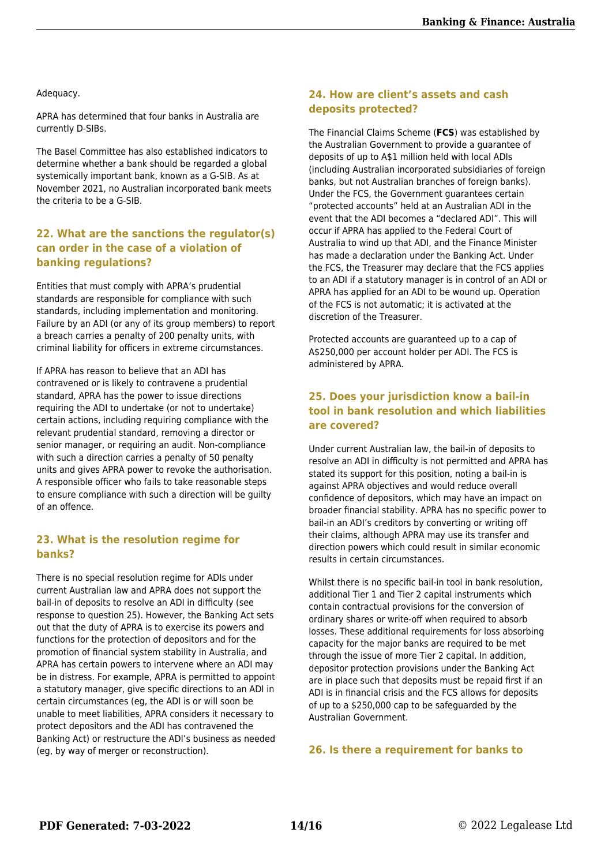#### Adequacy.

APRA has determined that four banks in Australia are currently D-SIBs.

The Basel Committee has also established indicators to determine whether a bank should be regarded a global systemically important bank, known as a G-SIB. As at November 2021, no Australian incorporated bank meets the criteria to be a G-SIB.

#### **22. What are the sanctions the regulator(s) can order in the case of a violation of banking regulations?**

Entities that must comply with APRA's prudential standards are responsible for compliance with such standards, including implementation and monitoring. Failure by an ADI (or any of its group members) to report a breach carries a penalty of 200 penalty units, with criminal liability for officers in extreme circumstances.

If APRA has reason to believe that an ADI has contravened or is likely to contravene a prudential standard, APRA has the power to issue directions requiring the ADI to undertake (or not to undertake) certain actions, including requiring compliance with the relevant prudential standard, removing a director or senior manager, or requiring an audit. Non-compliance with such a direction carries a penalty of 50 penalty units and gives APRA power to revoke the authorisation. A responsible officer who fails to take reasonable steps to ensure compliance with such a direction will be guilty of an offence.

#### **23. What is the resolution regime for banks?**

There is no special resolution regime for ADIs under current Australian law and APRA does not support the bail-in of deposits to resolve an ADI in difficulty (see response to question 25). However, the Banking Act sets out that the duty of APRA is to exercise its powers and functions for the protection of depositors and for the promotion of financial system stability in Australia, and APRA has certain powers to intervene where an ADI may be in distress. For example, APRA is permitted to appoint a statutory manager, give specific directions to an ADI in certain circumstances (eg, the ADI is or will soon be unable to meet liabilities, APRA considers it necessary to protect depositors and the ADI has contravened the Banking Act) or restructure the ADI's business as needed (eg, by way of merger or reconstruction).

#### **24. How are client's assets and cash deposits protected?**

The Financial Claims Scheme (**FCS**) was established by the Australian Government to provide a guarantee of deposits of up to A\$1 million held with local ADIs (including Australian incorporated subsidiaries of foreign banks, but not Australian branches of foreign banks). Under the FCS, the Government guarantees certain "protected accounts" held at an Australian ADI in the event that the ADI becomes a "declared ADI". This will occur if APRA has applied to the Federal Court of Australia to wind up that ADI, and the Finance Minister has made a declaration under the Banking Act. Under the FCS, the Treasurer may declare that the FCS applies to an ADI if a statutory manager is in control of an ADI or APRA has applied for an ADI to be wound up. Operation of the FCS is not automatic; it is activated at the discretion of the Treasurer.

Protected accounts are guaranteed up to a cap of A\$250,000 per account holder per ADI. The FCS is administered by APRA.

#### **25. Does your jurisdiction know a bail-in tool in bank resolution and which liabilities are covered?**

Under current Australian law, the bail-in of deposits to resolve an ADI in difficulty is not permitted and APRA has stated its support for this position, noting a bail-in is against APRA objectives and would reduce overall confidence of depositors, which may have an impact on broader financial stability. APRA has no specific power to bail-in an ADI's creditors by converting or writing off their claims, although APRA may use its transfer and direction powers which could result in similar economic results in certain circumstances.

Whilst there is no specific bail-in tool in bank resolution, additional Tier 1 and Tier 2 capital instruments which contain contractual provisions for the conversion of ordinary shares or write-off when required to absorb losses. These additional requirements for loss absorbing capacity for the major banks are required to be met through the issue of more Tier 2 capital. In addition, depositor protection provisions under the Banking Act are in place such that deposits must be repaid first if an ADI is in financial crisis and the FCS allows for deposits of up to a \$250,000 cap to be safeguarded by the Australian Government.

#### **26. Is there a requirement for banks to**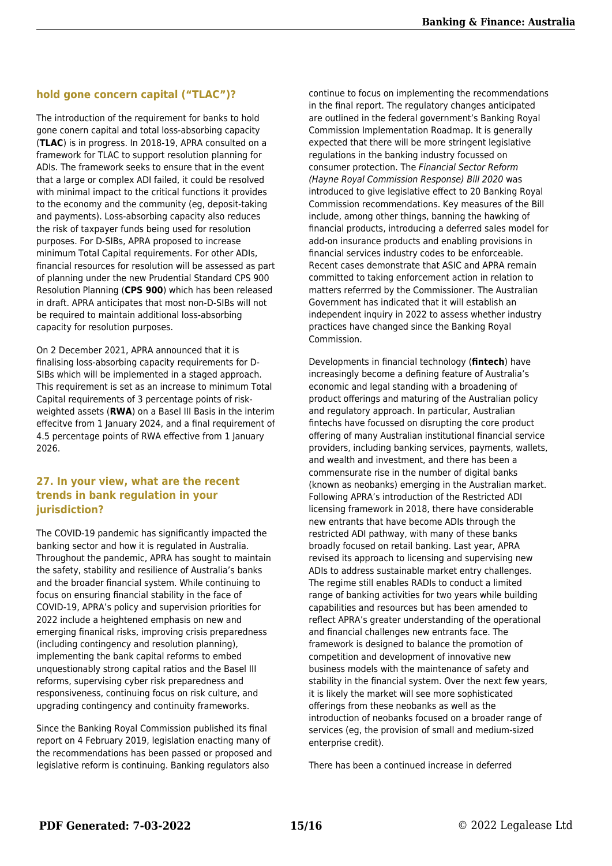#### **hold gone concern capital ("TLAC")?**

The introduction of the requirement for banks to hold gone conern capital and total loss-absorbing capacity (**TLAC**) is in progress. In 2018-19, APRA consulted on a framework for TLAC to support resolution planning for ADIs. The framework seeks to ensure that in the event that a large or complex ADI failed, it could be resolved with minimal impact to the critical functions it provides to the economy and the community (eg, deposit-taking and payments). Loss-absorbing capacity also reduces the risk of taxpayer funds being used for resolution purposes. For D-SIBs, APRA proposed to increase minimum Total Capital requirements. For other ADIs, financial resources for resolution will be assessed as part of planning under the new Prudential Standard CPS 900 Resolution Planning (**CPS 900**) which has been released in draft. APRA anticipates that most non-D-SIBs will not be required to maintain additional loss-absorbing capacity for resolution purposes.

On 2 December 2021, APRA announced that it is finalising loss-absorbing capacity requirements for D-SIBs which will be implemented in a staged approach. This requirement is set as an increase to minimum Total Capital requirements of 3 percentage points of riskweighted assets (**RWA**) on a Basel III Basis in the interim effecitve from 1 January 2024, and a final requirement of 4.5 percentage points of RWA effective from 1 January 2026.

#### **27. In your view, what are the recent trends in bank regulation in your jurisdiction?**

The COVID-19 pandemic has significantly impacted the banking sector and how it is regulated in Australia. Throughout the pandemic, APRA has sought to maintain the safety, stability and resilience of Australia's banks and the broader financial system. While continuing to focus on ensuring financial stability in the face of COVID-19, APRA's policy and supervision priorities for 2022 include a heightened emphasis on new and emerging finanical risks, improving crisis preparedness (including contingency and resolution planning), implementing the bank capital reforms to embed unquestionably strong capital ratios and the Basel III reforms, supervising cyber risk preparedness and responsiveness, continuing focus on risk culture, and upgrading contingency and continuity frameworks.

Since the Banking Royal Commission published its final report on 4 February 2019, legislation enacting many of the recommendations has been passed or proposed and legislative reform is continuing. Banking regulators also

continue to focus on implementing the recommendations in the final report. The regulatory changes anticipated are outlined in the federal government's Banking Royal Commission Implementation Roadmap. It is generally expected that there will be more stringent legislative regulations in the banking industry focussed on consumer protection. The Financial Sector Reform (Hayne Royal Commission Response) Bill 2020 was introduced to give legislative effect to 20 Banking Royal Commission recommendations. Key measures of the Bill include, among other things, banning the hawking of financial products, introducing a deferred sales model for add-on insurance products and enabling provisions in financial services industry codes to be enforceable. Recent cases demonstrate that ASIC and APRA remain committed to taking enforcement action in relation to matters referrred by the Commissioner. The Australian Government has indicated that it will establish an independent inquiry in 2022 to assess whether industry practices have changed since the Banking Royal Commission.

Developments in financial technology (**fintech**) have increasingly become a defining feature of Australia's economic and legal standing with a broadening of product offerings and maturing of the Australian policy and regulatory approach. In particular, Australian fintechs have focussed on disrupting the core product offering of many Australian institutional financial service providers, including banking services, payments, wallets, and wealth and investment, and there has been a commensurate rise in the number of digital banks (known as neobanks) emerging in the Australian market. Following APRA's introduction of the Restricted ADI licensing framework in 2018, there have considerable new entrants that have become ADIs through the restricted ADI pathway, with many of these banks broadly focused on retail banking. Last year, APRA revised its approach to licensing and supervising new ADIs to address sustainable market entry challenges. The regime still enables RADIs to conduct a limited range of banking activities for two years while building capabilities and resources but has been amended to reflect APRA's greater understanding of the operational and financial challenges new entrants face. The framework is designed to balance the promotion of competition and development of innovative new business models with the maintenance of safety and stability in the financial system. Over the next few years, it is likely the market will see more sophisticated offerings from these neobanks as well as the introduction of neobanks focused on a broader range of services (eg, the provision of small and medium-sized enterprise credit).

There has been a continued increase in deferred